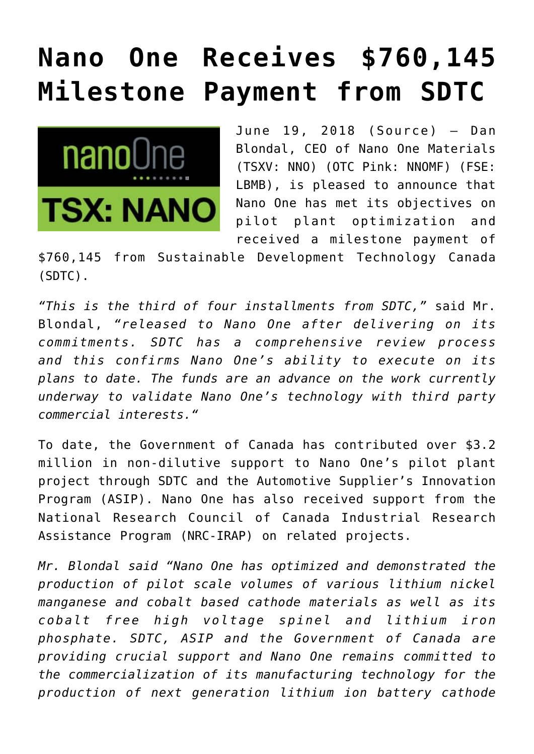## **[Nano One Receives \\$760,145](https://investorintel.com/markets/cleantech/cleantech-news/nano-one-receives-760145-milestone-payment-sdtc/) [Milestone Payment from SDTC](https://investorintel.com/markets/cleantech/cleantech-news/nano-one-receives-760145-milestone-payment-sdtc/)**



June 19, 2018 ([Source](https://investorintel.com/iintel-members/nano-one-materials-corp/)) — Dan Blondal, CEO of Nano One Materials (TSXV: NNO) (OTC Pink: NNOMF) (FSE: LBMB), is pleased to announce that Nano One has met its objectives on pilot plant optimization and received a milestone payment of

\$760,145 from Sustainable Development Technology Canada (SDTC).

*"This is the third of four installments from SDTC,"* said Mr. Blondal, *"released to Nano One after delivering on its commitments. SDTC has a comprehensive review process and this confirms Nano One's ability to execute on its plans to date. The funds are an advance on the work currently underway to validate Nano One's technology with third party commercial interests."*

To date, the Government of Canada has contributed over \$3.2 million in non-dilutive support to Nano One's pilot plant project through SDTC and the Automotive Supplier's Innovation Program (ASIP). Nano One has also received support from the National Research Council of Canada Industrial Research Assistance Program (NRC-IRAP) on related projects.

*Mr. Blondal said "Nano One has optimized and demonstrated the production of pilot scale volumes of various lithium nickel manganese and cobalt based cathode materials as well as its cobalt free high voltage spinel and lithium iron phosphate. SDTC, ASIP and the Government of Canada are providing crucial support and Nano One remains committed to the commercialization of its manufacturing technology for the production of next generation lithium ion battery cathode*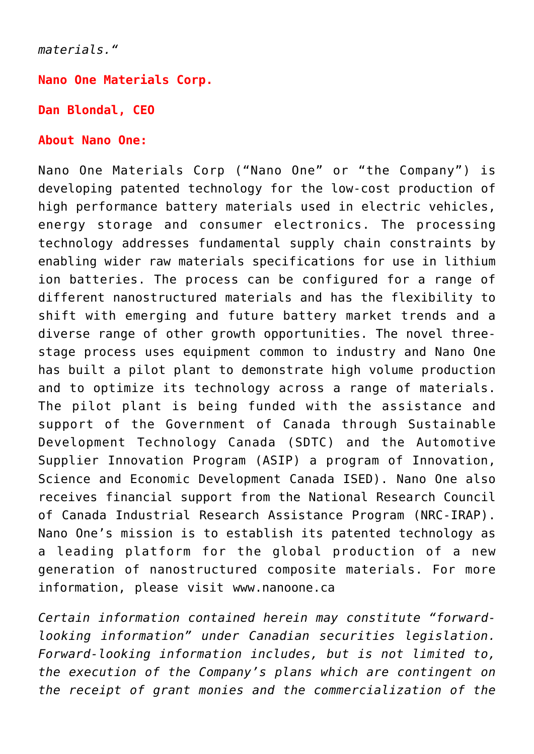*materials."*

**Nano One Materials Corp.**

**Dan Blondal, CEO** 

## **About Nano One:**

Nano One Materials Corp ("Nano One" or "the Company") is developing patented technology for the low-cost production of high performance battery materials used in electric vehicles, energy storage and consumer electronics. The processing technology addresses fundamental supply chain constraints by enabling wider raw materials specifications for use in lithium ion batteries. The process can be configured for a range of different nanostructured materials and has the flexibility to shift with emerging and future battery market trends and a diverse range of other growth opportunities. The novel threestage process uses equipment common to industry and Nano One has built a pilot plant to demonstrate high volume production and to optimize its technology across a range of materials. The pilot plant is being funded with the assistance and support of the Government of Canada through Sustainable Development Technology Canada (SDTC) and the Automotive Supplier Innovation Program (ASIP) a program of Innovation, Science and Economic Development Canada ISED). Nano One also receives financial support from the National Research Council of Canada Industrial Research Assistance Program (NRC-IRAP). Nano One's mission is to establish its patented technology as a leading platform for the global production of a new generation of nanostructured composite materials. For more information, please visit [www.nanoone.ca](http://www.nanoone.ca/)

*Certain information contained herein may constitute "forwardlooking information" under Canadian securities legislation. Forward-looking information includes, but is not limited to, the execution of the Company's plans which are contingent on the receipt of grant monies and the commercialization of the*